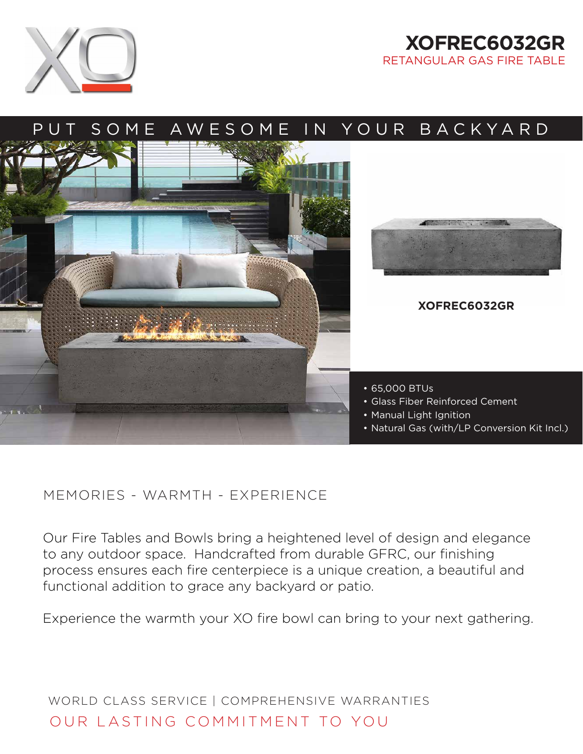

## **XOFREC6032GR** RETANGULAR GAS FIRE TABLE



## MEMORIES - WARMTH - EXPERIENCE

Our Fire Tables and Bowls bring a heightened level of design and elegance to any outdoor space. Handcrafted from durable GFRC, our finishing process ensures each fire centerpiece is a unique creation, a beautiful and functional addition to grace any backyard or patio.

Experience the warmth your XO fire bowl can bring to your next gathering.

WORLD CLASS SERVICE | COMPREHENSIVE WARRANTIES OUR LASTING COMMITMENT TO YOU